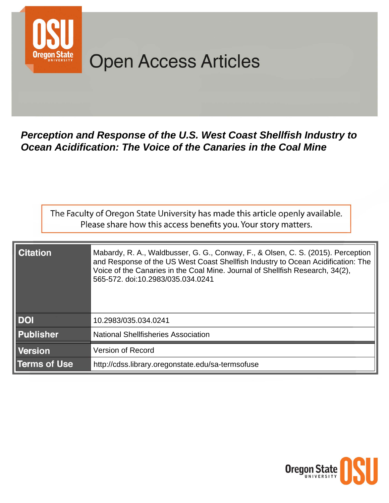

# **Open Access Articles**

Perception and Response of the U.S. West Coast Shellfish Industry to Ocean Acidification: The Voice of the Canaries in the Coal Mine

The Faculty of Oregon State University has made this article openly available. Please share how this access benefits you. Your story matters.

| <b>Citation</b>     | Mabardy, R. A., Waldbusser, G. G., Conway, F., & Olsen, C. S. (2015). Perception<br>and Response of the US West Coast Shellfish Industry to Ocean Acidification: The<br>Voice of the Canaries in the Coal Mine. Journal of Shellfish Research, 34(2),<br>565-572. doi:10.2983/035.034.0241 |
|---------------------|--------------------------------------------------------------------------------------------------------------------------------------------------------------------------------------------------------------------------------------------------------------------------------------------|
| <b>DOI</b>          | 10.2983/035.034.0241                                                                                                                                                                                                                                                                       |
| <b>Publisher</b>    | <b>National Shellfisheries Association</b>                                                                                                                                                                                                                                                 |
| <b>Version</b>      | <b>Version of Record</b>                                                                                                                                                                                                                                                                   |
| <b>Terms of Use</b> | http://cdss.library.oregonstate.edu/sa-termsofuse                                                                                                                                                                                                                                          |

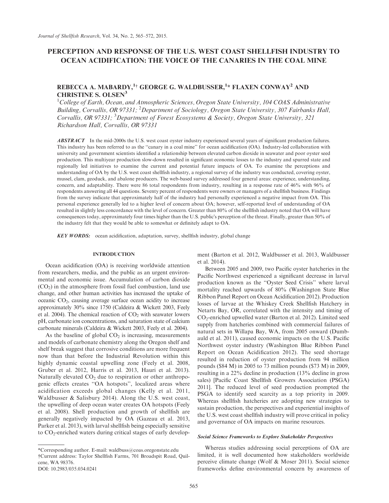# PERCEPTION AND RESPONSE OF THE U.S. WEST COAST SHELLFISH INDUSTRY TO OCEAN ACIDIFICATION: THE VOICE OF THE CANARIES IN THE COAL MINE

# REBECCA A. MABARDY,<sup>1</sup>† GEORGE G. WALDBUSSER,<sup>1</sup>\* FLAXEN CONWAY<sup>2</sup> AND CHRISTINE S. OLSEN<sup>3</sup>

<sup>1</sup>College of Earth, Ocean, and Atmospheric Sciences, Oregon State University, 104 COAS Administrative Building, Corvallis, OR 97331; <sup>2</sup>Department of Sociology, Oregon State University, 307 Fairbanks Hall, Corvallis, OR 97331; <sup>3</sup>Department of Forest Ecosystems & Society, Oregon State University, 321 Richardson Hall, Corvallis, OR 97331

ABSTRACT In the mid-2000s the U.S. west coast oyster industry experienced several years of significant production failures. This industry has been referred to as the ''canary in a coal mine'' for ocean acidification (OA). Industry-led collaboration with university and government scientists identified a relationship between elevated carbon dioxide in seawater and poor oyster seed production. This multiyear production slow-down resulted in significant economic losses to the industry and spurred state and regionally led initiatives to examine the current and potential future impacts of OA. To examine the perceptions and understanding of OA by the U.S. west coast shellfish industry, a regional survey of the industry was conducted, covering oyster, mussel, clam, geoduck, and abalone producers. The web-based survey addressed four general areas: experience, understanding, concern, and adaptability. There were 86 total respondents from industry, resulting in a response rate of 46% with 96% of respondents answering all 44 questions. Seventy percent of respondents were owners or managers of a shellfish business. Findings from the survey indicate that approximately half of the industry had personally experienced a negative impact from OA. This personal experience generally led to a higher level of concern about OA; however, self-reported level of understanding of OA resulted in slightly less concordance with the level of concern. Greater than 80% of the shellfish industry noted that OA will have consequences today, approximately four times higher than the U.S. public's perception of the threat. Finally, greater than 50% of the industry felt that they would be able to somewhat or definitely adapt to OA.

**KEY WORDS:** ocean acidification, adaptation, survey, shellfish industry, global change

# INTRODUCTION

Ocean acidification (OA) is receiving worldwide attention from researchers, media, and the public as an urgent environmental and economic issue. Accumulation of carbon dioxide  $(CO<sub>2</sub>)$  in the atmosphere from fossil fuel combustion, land use change, and other human activities has increased the uptake of oceanic  $CO<sub>2</sub>$ , causing average surface ocean acidity to increase approximately 30% since 1750 (Caldeira & Wickett 2003, Feely et al. 2004). The chemical reaction of  $CO<sub>2</sub>$  with seawater lowers pH, carbonate ion concentrations, and saturation state of calcium carbonate minerals (Caldeira & Wickett 2003, Feely et al. 2004).

As the baseline of global  $CO<sub>2</sub>$  is increasing, measurements and models of carbonate chemistry along the Oregon shelf and shelf break suggest that corrosive conditions are more frequent now than that before the Industrial Revolution within this highly dynamic coastal upwelling zone (Feely et al. 2008, Gruber et al. 2012, Harris et al. 2013, Hauri et al. 2013). Naturally elevated  $CO<sub>2</sub>$  due to respiration or other anthropogenic effects creates ''OA hotspots'', localized areas where acidification exceeds global changes (Kelly et al. 2011, Waldbusser & Salisbury 2014). Along the U.S. west coast, the upwelling of deep ocean water creates OA hotspots (Feely et al. 2008). Shell production and growth of shellfish are generally negatively impacted by OA (Gazeau et al. 2013, Parker et al. 2013), with larval shellfish being especially sensitive to CO<sub>2</sub>-enriched waters during critical stages of early development (Barton et al. 2012, Waldbusser et al. 2013, Waldbusser et al. 2014).

Between 2005 and 2009, two Pacific oyster hatcheries in the Pacific Northwest experienced a significant decrease in larval production known as the ''Oyster Seed Crisis'' where larval mortality reached upwards of 80% (Washington State Blue Ribbon Panel Report on Ocean Acidification 2012). Production losses of larvae at the Whiskey Creek Shellfish Hatchery in Netarts Bay, OR, correlated with the intensity and timing of CO2-enriched upwelled water (Barton et al. 2012). Limited seed supply from hatcheries combined with commercial failures of natural sets in Willapa Bay, WA, from 2005 onward (Dumbauld et al. 2011), caused economic impacts on the U.S. Pacific Northwest oyster industry (Washington Blue Ribbon Panel Report on Ocean Acidification 2012). The seed shortage resulted in reduction of oyster production from 94 million pounds (\$84 M) in 2005 to 73 million pounds (\$73 M) in 2009, resulting in a 22% decline in production (13% decline in gross sales) [Pacific Coast Shellfish Growers Association (PSGA) 2011]. The reduced level of seed production prompted the PSGA to identify seed scarcity as a top priority in 2009. Whereas shellfish hatcheries are adopting new strategies to sustain production, the perspectives and experiential insights of the U.S. west coast shellfish industry will prove critical in policy and governance of OA impacts on marine resources.

# Social Science Frameworks to Explore Stakeholder Perspectives

Whereas studies addressing social perceptions of OA are limited, it is well documented how stakeholders worldwide perceive climate change (Wolf & Moser 2011). Social science frameworks define environmental concern by awareness of

<sup>\*</sup>Corresponding author. E-mail: waldbuss@coas.oregonstate.edu †Current address: Taylor Shellfish Farms, 701 Broadspit Road, Quilcene, WA 98376. DOI: 10.2983/035.034.0241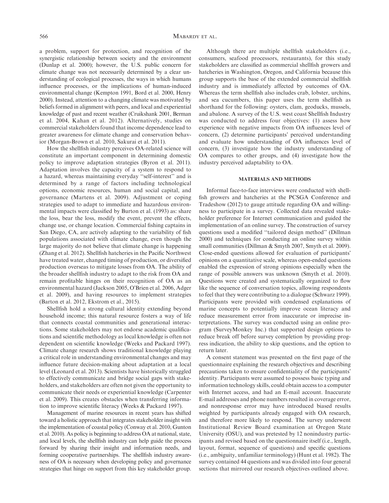a problem, support for protection, and recognition of the synergistic relationship between society and the environment (Dunlap et al. 2000); however, the U.S. public concern for climate change was not necessarily determined by a clear understanding of ecological processes, the ways in which humans influence processes, or the implications of human-induced environmental change (Kempton 1991, Bord et al. 2000, Henry 2000). Instead, attention to a changing climate was motivated by beliefs formed in alignment with peers, and local and experiential knowledge of past and recent weather (Cruikshank 2001, Berman et al. 2004, Kahan et al. 2012). Alternatively, studies on commercial stakeholders found that income dependence lead to greater awareness for climate change and conservation behavior (Morgan-Brown et al. 2010, Sakurai et al. 2011).

How the shellfish industry perceives OA-related science will constitute an important component in determining domestic policy to improve adaptation strategies (Byron et al. 2011). Adaptation involves the capacity of a system to respond to a hazard, whereas maintaining everyday ''self-interest'' and is determined by a range of factors including technological options, economic resources, human and social capital, and governance (Martens et al. 2009). Adjustment or coping strategies used to adapt to immediate and hazardous environmental impacts were classified by Burton et al. (1993) as: share the loss, bear the loss, modify the event, prevent the effects, change use, or change location. Commercial fishing captains in San Diego, CA, are actively adapting to the variability of fish populations associated with climate change, even though the large majority do not believe that climate change is happening (Zhang et al. 2012). Shellfish hatcheries in the Pacific Northwest have treated water, changed timing of production, or diversified production overseas to mitigate losses from OA. The ability of the broader shellfish industry to adapt to the risk from OA and remain profitable hinges on their recognition of OA as an environmental hazard (Jackson 2005, O'Brien et al. 2006, Adger et al. 2009), and having resources to implement strategies (Barton et al. 2012, Ekstrom et al., 2015).

Shellfish hold a strong cultural identity extending beyond household income; this natural resource fosters a way of life that connects coastal communities and generational interactions. Some stakeholders may not endorse academic qualifications and scientific methodology as local knowledge is often not dependent on scientific knowledge (Weeks and Packard 1997). Climate change research shows traditional knowledge playing a critical role in understanding environmental changes and may influence future decision-making about adaptation at a local level (Leonard et al. 2013). Scientists have historically struggled to effectively communicate and bridge social gaps with stakeholders, and stakeholders are often not given the opportunity to communicate their needs or experiential knowledge (Carpenter et al. 2009). This creates obstacles when transferring information to improve scientific literacy (Weeks & Packard 1997).

Management of marine resources in recent years has shifted toward a holistic approach that integrates stakeholder insight with the implementation of coastal policy (Conway et al. 2010, Gunton et al. 2010). As policy is beginning to address OA at national, state, and local levels, the shellfish industry can help guide the process forward by sharing their insight and information needs, and forming cooperative partnerships. The shellfish industry awareness of OA is necessary when developing policy and governance strategies that hinge on support from this key stakeholder group.

Although there are multiple shellfish stakeholders (i.e., consumers, seafood processors, restaurants), for this study stakeholders are classified as commercial shellfish growers and hatcheries in Washington, Oregon, and California because this group supports the base of the extended commercial shellfish industry and is immediately affected by outcomes of OA. Whereas the term shellfish also includes crab, lobster, urchins, and sea cucumbers, this paper uses the term shellfish as shorthand for the following: oysters, clam, geoducks, mussels, and abalone. A survey of the U.S. west coast Shellfish Industry was conducted to address four objectives: (1) assess how experience with negative impacts from OA influences level of concern, (2) determine participants' perceived understanding and evaluate how understanding of OA influences level of concern, (3) investigate how the industry understanding of OA compares to other groups, and (4) investigate how the industry perceived adaptability to OA.

#### MATERIALS AND METHODS

Informal face-to-face interviews were conducted with shellfish growers and hatcheries at the PCSGA Conference and Tradeshow (2012) to gauge attitude regarding OA and willingness to participate in a survey. Collected data revealed stakeholder preference for Internet communication and guided the implementation of an online survey. The construction of survey questions used a modified ''tailored design method'' (Dillman 2000) and techniques for conducting an online survey within small communities (Dillman & Smyth 2007, Smyth et al. 2009). Close-ended questions allowed for evaluation of participants opinions on a quantitative scale, whereas open-ended questions enabled the expression of strong opinions especially when the range of possible answers was unknown (Smyth et al. 2010). Questions were created and systematically organized to flow like the sequence of conversation topics, allowing respondents to feel that they were contributing to a dialogue (Schwarz 1999). Participants were provided with condensed explanations of marine concepts to potentially improve ocean literacy and reduce measurement error from inaccurate or imprecise interpretations. The survey was conducted using an online program (SurveyMonkey Inc.) that supported design options to reduce break off before survey completion by providing progress indication, the ability to skip questions, and the option to return later.

A consent statement was presented on the first page of the questionnaire explaining the research objectives and describing precautions taken to ensure confidentiality of the participants identity. Participants were assumed to possess basic typing and information technology skills, could obtain access to a computer with Internet access, and had an E-mail account. Inaccurate E-mail addresses and phone numbers resulted in coverage error, and nonresponse error may have introduced biased results weighted by participants already engaged with OA research, and therefore more likely to respond. The survey underwent Institutional Review Board examination at Oregon State University (OSU), and was pretested by 12 nonindustry participants and revised based on the questionnaire itself (i.e., length, layout, format, sequence of questions) and specific questions (i.e., ambiguity, unfamiliar terminology) (Hunt et al. 1982). The survey contained 44 questions and was divided into four general sections that mirrored our research objectives outlined above.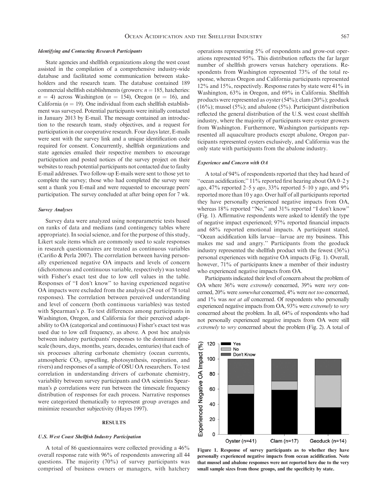# Identifying and Contacting Research Participants

State agencies and shellfish organizations along the west coast assisted in the compilation of a comprehensive industry-wide database and facilitated some communication between stakeholders and the research team. The database contained 189 commercial shellfish establishments (growers:  $n = 185$ , hatcheries:  $n = 4$ ) across Washington ( $n = 154$ ), Oregon ( $n = 16$ ), and California ( $n = 19$ ). One individual from each shellfish establishment was surveyed. Potential participants were initially contacted in January 2013 by E-mail. The message contained an introduction to the research team, study objectives, and a request for participation in our cooperative research. Four days later, E-mails were sent with the survey link and a unique identification code required for consent. Concurrently, shellfish organizations and state agencies emailed their respective members to encourage participation and posted notices of the survey project on their websites to reach potential participants not contacted due to faulty E-mail addresses. Two follow-up E-mails were sent to those yet to complete the survey; those who had completed the survey were sent a thank you E-mail and were requested to encourage peers participation. The survey concluded at after being open for 7 wk.

# Survey Analyses

Survey data were analyzed using nonparametric tests based on ranks of data and medians (and contingency tables where appropriate). In social science, and for the purpose of this study, Likert scale items which are commonly used to scale responses in research questionnaires are treated as continuous variables (Carifio & Perla 2007). The correlation between having personally experienced negative OA impacts and levels of concern (dichotomous and continuous variable, respectively) was tested with Fisher's exact test due to low cell values in the table. Responses of "I don't know" to having experienced negative OA impacts were excluded from the analysis (24 out of 78 total responses). The correlation between perceived understanding and level of concern (both continuous variables) was tested with Spearman's  $\rho$ . To test differences among participants in Washington, Oregon, and California for their perceived adaptability to OA (categorical and continuous) Fisher's exact test was used due to low cell frequency, as above. A post hoc analysis between industry participants' responses to the dominant timescale (hours, days, months, years, decades, centuries) that each of six processes altering carbonate chemistry (ocean currents, atmospheric CO2, upwelling, photosynthesis, respiration, and rivers) and responses of a sample of OSU OA researchers. To test correlation in understanding drivers of carbonate chemistry, variability between survey participants and OA scientists Spearman's  $\rho$  correlations were run between the timescale frequency distribution of responses for each process. Narrative responses were categorized thematically to represent group averages and minimize researcher subjectivity (Hayes 1997).

## RESULTS

#### U.S. West Coast Shellfish Industry Participation

A total of 86 questionnaires were collected providing a 46% overall response rate with 96% of respondents answering all 44 questions. The majority (70%) of survey participants was comprised of business owners or managers, with hatchery

operations representing 5% of respondents and grow-out operations represented 95%. This distribution reflects the far larger number of shellfish growers versus hatchery operations. Respondents from Washington represented 73% of the total response, whereas Oregon and California participants represented 12% and 15%, respectively. Response rates by state were 41% in Washington, 63% in Oregon, and 69% in California. Shellfish products were represented as oyster (54%); clam (20%); geoduck  $(16\%)$ ; mussel  $(5\%)$ ; and abalone  $(5\%)$ . Participant distribution reflected the general distribution of the U.S. west coast shellfish industry, where the majority of participants were oyster growers from Washington. Furthermore, Washington participants represented all aquaculture products except abalone, Oregon participants represented oysters exclusively, and California was the only state with participants from the abalone industry.

#### Experience and Concern with OA

A total of 94% of respondents reported that they had heard of "ocean acidification;"  $11\%$  reported first hearing about OA 0–2 y ago, 47% reported 2–5 y *ago*, 33% reported 5–10 y ago, and 9% reported more than 10 y ago. Over half of all participants reported they have personally experienced negative impacts from OA, whereas 18% reported "No," and 31% reported "I don't know" (Fig. 1). Affirmative respondents were asked to identify the type of negative impact experienced; 97% reported financial impacts and 68% reported emotional impacts. A participant stated, ''Ocean acidification kills larvae—larvae are my business. This makes me sad and angry.'' Participants from the geoduck industry represented the shellfish product with the fewest (36%) personal experiences with negative OA impacts (Fig. 1). Overall, however, 71% of participants knew a member of their industry who experienced negative impacts from OA.

Participants indicated their level of concern about the problem of OA where 36% were extremely concerned, 39% were very concerned, 20% were somewhat concerned, 4% were not too concerned, and 1% was not at all concerned. Of respondents who personally experienced negative impacts from OA, 93% were extremely to very concerned about the problem. In all, 64% of respondents who had not personally experienced negative impacts from OA were still extremely to very concerned about the problem (Fig. 2). A total of



Figure 1. Response of survey participants as to whether they have personally experienced negative impacts from ocean acidification. Note that mussel and abalone responses were not reported here due to the very small sample sizes from those groups, and the specificity by state.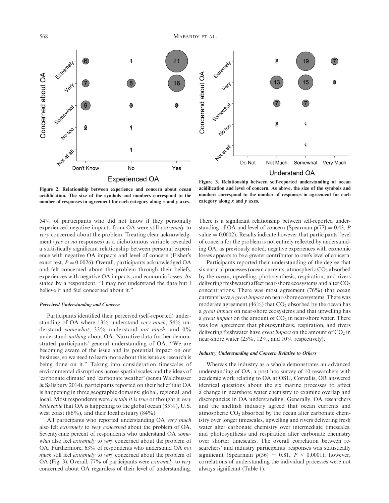



Figure 2. Relationship between experience and concern about ocean acidification. The size of the symbols and numbers correspond to the number of responses in agreement for each category along  $x$  and  $y$  axes.

54% of participants who did not know if they personally experienced negative impacts from OA were still extremely to very concerned about the problem. Treating clear acknowledgment (yes or no responses) as a dichotomous variable revealed a statistically significant relationship between personal experience with negative OA impacts and level of concern (Fisher's exact test,  $P = 0.0026$ ). Overall, participants acknowledged OA and felt concerned about the problem through their beliefs, experiences with negative OA impacts, and economic losses. As stated by a respondent, ''I may not understand the data but I believe it and feel concerned about it.''

#### Perceived Understanding and Concern

Participants identified their perceived (self-reported) understanding of OA where 13% understand very much, 54% understand somewhat, 33% understand not much, and 0% understand nothing about OA. Narrative data further demonstrated participants' general understanding of OA, "We are becoming aware of the issue and its potential impact on our business, so we need to learn more about this issue as research is being done on it.'' Taking into consideration timescales of environmental disruptions across spatial scales and the ideas of 'carbonate climate' and 'carbonate weather' (sensu Waldbusser & Salisbury 2014), participants reported on their belief that OA is happening in three geographic domains: global, regional, and local. Most respondents were *certain it is true* or thought it *very* believable that OA is happening to the global ocean (85%), U.S. west coast (86%), and their local estuary (84%).

All participants who reported understanding OA very much also felt extremely to very concerned about the problem of OA. Seventy-nine percent of respondents who understand OA somewhat also feel extremely to very concerned about the problem of OA. Furthermore, 63% of respondents who understand OA not much still feel extremely to very concerned about the problem of OA (Fig. 3). Overall, 77% of participants were extremely to very concerned about OA regardless of their level of understanding.

Figure 3. Relationship between self-reported understanding of ocean acidification and level of concern. As above, the size of the symbols and numbers correspond to the number of responses in agreement for each category along  $x$  and  $y$  axes.

There is a significant relationship between self-reported understanding of OA and level of concern (Spearman  $\rho(77) = 0.43$ , P value  $= 0.0002$ ). Results indicate however that participants' level of concern for the problem is not entirely reflected by understanding OA; as previously noted, negative experiences with economic losses appears to be a greater contributor to one's level of concern.

Participants reported their understanding of the degree that six natural processes (ocean currents, atmospheric  $CO<sub>2</sub>$  absorbed by the ocean, upwelling, photosynthesis, respiration, and rivers delivering freshwater) affect near-shore ecosystems and alter  $CO<sub>2</sub>$ concentrations. There was most agreement (76%) that ocean currents have a great impact on near-shore ecosystems. There was moderate agreement (46%) that  $CO<sub>2</sub>$  absorbed by the ocean has a great impact on near-shore ecosystems and that upwelling has a great impact on the amount of  $CO<sub>2</sub>$  in near-shore water. There was low agreement that photosynthesis, respiration, and rivers delivering freshwater have great impact on the amount of  $CO<sub>2</sub>$  in near-shore water (25%, 12%, and 10% respectively).

## Industry Understanding and Concern Relative to Others

Whereas the industry as a whole demonstrates an advanced understanding of OA, a post hoc survey of 10 researchers with academic work relating to OA at OSU, Corvallis, OR answered identical questions about the six marine processes to affect a change in nearshore water chemistry to examine overlap and discrepancies in OA understanding. Generally, OA researchers and the shellfish industry agreed that ocean currents and atmospheric  $CO<sub>2</sub>$  absorbed by the ocean alter carbonate chemistry over longer timescales, upwelling and rivers delivering fresh water alter carbonate chemistry over intermediate timescales, and photosynthesis and respiration alter carbonate chemistry over shorter timescales. The overall correlation between researchers' and industry participants' responses was statistically significant (Spearman  $p(36) = 0.81$ ,  $P < 0.0001$ ); however, correlations of understanding the individual processes were not always significant (Table 1).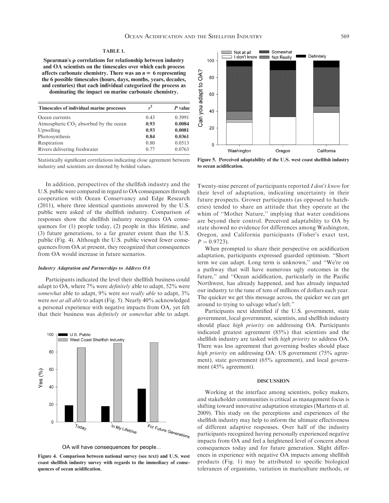# TABLE 1.

Spearman's  $\rho$  correlations for relationship between industry and OA scientists on the timescales over which each process affects carbonate chemistry. There was an  $n = 6$  representing the 6 possible timescales (hours, days, months, years, decades, and centuries) that each individual categorized the process as dominating the impact on marine carbonate chemistry.

| Timescales of individual marine processes         |      | P value |
|---------------------------------------------------|------|---------|
| Ocean currents                                    | 0.43 | 0.3991  |
| Atmospheric CO <sub>2</sub> absorbed by the ocean | 0.93 | 0.0084  |
| Upwelling                                         | 0.93 | 0.0081  |
| Photosynthesis                                    | 0.84 | 0.0361  |
| Respiration                                       | 0.80 | 0.0513  |
| Rivers delivering freshwater                      | 0.77 | 0.0763  |

Statistically significant correlations indicating close agreement between industry and scientists are denoted by bolded values.

In addition, perspectives of the shellfish industry and the U.S. public were compared in regard to OA consequences through cooperation with Ocean Conservancy and Edge Research (2011), where three identical questions answered by the U.S. public were asked of the shellfish industry. Comparison of responses show the shellfish industry recognizes OA consequences for (1) people today, (2) people in this lifetime, and (3) future generations, to a far greater extent than the U.S. public (Fig. 4). Although the U.S. public viewed fewer consequences from OA at present, they recognized that consequences from OA would increase in future scenarios.

#### Industry Adaptation and Partnerships to Address OA

Participants indicated the level their shellfish business could adapt to OA, where 7% were definitely able to adapt, 52% were somewhat able to adapt, 9% were not really able to adapt, 3% were not at all able to adapt (Fig. 5). Nearly 40% acknowledged a personal experience with negative impacts from OA, yet felt that their business was definitely or somewhat able to adapt.



OA will have consequences for people...

Figure 4. Comparison between national survey (see text) and U.S. west coast shellfish industry survey with regards to the immediacy of consequences of ocean acidification.



Figure 5. Perceived adaptability of the U.S. west coast shellfish industry to ocean acidification.

Twenty-nine percent of participants reported  $I$  don't know for their level of adaptation, indicating uncertainty in their future prospects. Grower participants (as opposed to hatcheries) tended to share an attitude that they operate at the whim of "Mother Nature," implying that water conditions are beyond their control. Perceived adaptability to OA by state showed no evidence for differences among Washington, Oregon, and California participants (Fisher's exact test,  $P = 0.9723$ .

When prompted to share their perspective on acidification adaptation, participants expressed guarded optimism. ''Short term we can adapt. Long term is unknown," and "We're on a pathway that will have numerous ugly outcomes in the future,'' and ''Ocean acidification, particularly in the Pacific Northwest, has already happened, and has already impacted our industry to the tune of tens of millions of dollars each year. The quicker we get this message across, the quicker we can get around to trying to salvage what's left."

Participants next identified if the U.S. government, state government, local government, scientists, and shellfish industry should place high priority on addressing OA. Participants indicated greatest agreement (85%) that scientists and the shellfish industry are tasked with high priority to address OA. There was less agreement that governing bodies should place high priority on addressing OA: US government (75% agreement), state government (65% agreement), and local government (45% agreement).

# DISCUSSION

Working at the interface among scientists, policy makers, and stakeholder communities is critical as management focus is shifting toward innovative adaptation strategies (Martens et al. 2009). This study on the perceptions and experiences of the shellfish industry may help to inform the ultimate effectiveness of different adaptive responses. Over half of the industry participants recognized having personally experienced negative impacts from OA and feel a heightened level of concern about consequences today and for future generation. Slight differences in experience with negative OA impacts among shellfish products (Fig. 1) may be attributed to specific biological tolerances of organisms, variation in mariculture methods, or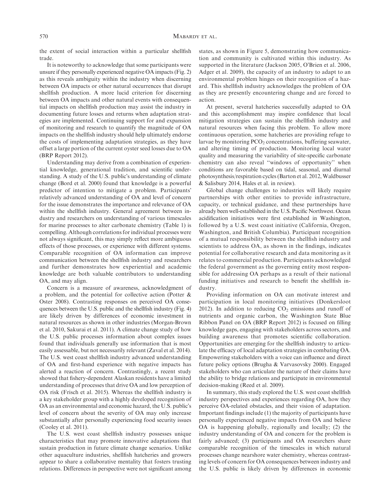the extent of social interaction within a particular shellfish trade.

It is noteworthy to acknowledge that some participants were unsure if they personally experienced negative OA impacts (Fig. 2) as this reveals ambiguity within the industry when discerning between OA impacts or other natural occurrences that disrupt shellfish production. A more lucid criterion for discerning between OA impacts and other natural events with consequential impacts on shellfish production may assist the industry in documenting future losses and returns when adaptation strategies are implemented. Continuing support for and expansion of monitoring and research to quantify the magnitude of OA impacts on the shellfish industry should help ultimately endorse the costs of implementing adaptation strategies, as they have offset a large portion of the current oyster seed losses due to OA (BRP Report 2012).

Understanding may derive from a combination of experiential knowledge, generational tradition, and scientific understanding. A study of the U.S. public's understanding of climate change (Bord et al. 2000) found that knowledge is a powerful predictor of intention to mitigate a problem. Participants relatively advanced understanding of OA and level of concern for the issue demonstrates the importance and relevance of OA within the shellfish industry. General agreement between industry and researchers on understanding of various timescales for marine processes to alter carbonate chemistry (Table 1) is compelling. Although correlations for individual processes were not always significant, this may simply reflect more ambiguous effects of those processes, or experience with different systems. Comparable recognition of OA information can improve communication between the shellfish industry and researchers and further demonstrates how experiential and academic knowledge are both valuable contributors to understanding OA, and may align.

Concern is a measure of awareness, acknowledgment of a problem, and the potential for collective action (Potter & Oster 2008). Contrasting responses on perceived OA consequences between the U.S. public and the shellfish industry (Fig. 4) are likely driven by differences of economic investment in natural resources as shown in other industries (Morgan-Brown et al. 2010, Sakurai et al. 2011). A climate change study of how the U.S. public processes information about complex issues found that individuals generally use information that is most easily assessable, but not necessarily relevant (Zaval et al. 2014). The U.S. west coast shellfish industry advanced understanding of OA and first-hand experience with negative impacts has alerted a reaction of concern. Contrastingly, a recent study showed that fishery-dependent Alaskan residents have a limited understanding of processes that drive OA and low perception of OA risk (Frisch et al. 2015). Whereas the shellfish industry is a key stakeholder group with a highly developed recognition of OA as an environmental and economic hazard, the U.S. public's level of concern about the severity of OA may only increase substantially after personally experiencing food security issues (Cooley et al. 2011).

The U.S. west coast shellfish industry possesses unique characteristics that may promote innovative adaptations that sustain production in future climate change scenarios. Unlike other aquaculture industries, shellfish hatcheries and growers appear to share a collaborative mentality that fosters trusting relations. Differences in perspective were not significant among states, as shown in Figure 5, demonstrating how communication and community is cultivated within this industry. As supported in the literature (Jackson 2005, O'Brien et al. 2006, Adger et al. 2009), the capacity of an industry to adapt to an environmental problem hinges on their recognition of a hazard. This shellfish industry acknowledges the problem of OA as they are presently encountering change and are forced to action.

At present, several hatcheries successfully adapted to OA and this accomplishment may inspire confidence that local mitigation strategies can sustain the shellfish industry and natural resources when facing this problem. To allow more continuous operation, some hatcheries are providing refuge to larvae by monitoring  $PCO<sub>2</sub>$  concentrations, buffering seawater, and altering timing of production. Monitoring local water quality and measuring the variability of site-specific carbonate chemistry can also reveal ''windows of opportunity'' when conditions are favorable based on tidal, seasonal, and diurnal photosynthesis/respiration cycles (Barton et al. 2012, Waldbusser & Salisbury 2014, Hales et al. in review).

Global change challenges to industries will likely require partnerships with other entities to provide infrastructure, capacity, or technical guidance, and these partnerships have already been well-established in the U.S. Pacific Northwest. Ocean acidification initiatives were first established in Washington, followed by a U.S. west coast initiative (California, Oregon, Washington, and British Columbia). Participant recognition of a mutual responsibility between the shellfish industry and scientists to address OA, as shown in the findings, indicates potential for collaborative research and data monitoring as it relates to commercial production. Participants acknowledged the federal government as the governing entity most responsible for addressing OA perhaps as a result of their national funding initiatives and research to benefit the shellfish industry.

Providing information on OA can motivate interest and participation in local monitoring initiatives (Donkersloot 2012). In addition to reducing  $CO<sub>2</sub>$  emissions and runoff of nutrients and organic carbon, the Washington State Blue Ribbon Panel on OA (BRP Report 2012) is focused on filling knowledge gaps, engaging with stakeholders across sectors, and building awareness that promotes scientific collaboration. Opportunities are emerging for the shellfish industry to articulate the efficacy of local adaptation strategies in combating OA. Empowering stakeholders with a voice can influence and direct future policy options (Brugha & Varvasovsky 2000). Engaged stakeholders who can articulate the nature of their claims have the ability to bridge relations and participate in environmental decision-making (Reed et al. 2009).

In summary, this study explored the U.S. west coast shellfish industry perspectives and experiences regarding OA, how they perceive OA-related obstacles, and their vision of adaptation. Important findings include (1) the majority of participants have personally experienced negative impacts from OA and believe OA is happening globally, regionally and locally; (2) the industry understanding of OA and concern for the problem is fairly advanced; (3) participants and OA researchers share comparable recognition of the timescales in which natural processes change nearshore water chemistry, whereas contrasting levels of concern for OA consequences between industry and the U.S. public is likely driven by differences in economic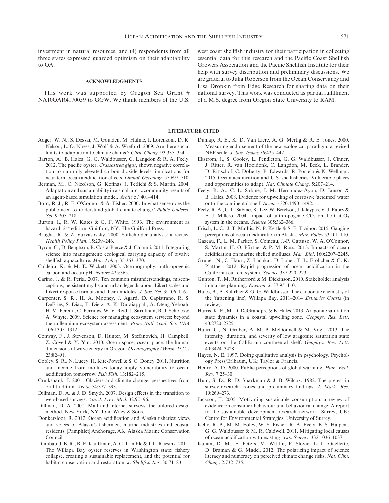investment in natural resources; and (4) respondents from all three states expressed guarded optimism on their adaptability to OA.

#### ACKNOWLEDGMENTS

This work was supported by Oregon Sea Grant # NA10OAR4170059 to GGW. We thank members of the U.S. west coast shellfish industry for their participation in collecting essential data for this research and the Pacific Coast Shellfish Growers Association and the Pacific Shellfish Institute for their help with survey distribution and preliminary discussions. We are grateful to Julia Roberson from the Ocean Conservancy and Lisa Dropkin from Edge Research for sharing data on their national survey. This work was conducted as partial fulfillment of a M.S. degree from Oregon State University to RAM.

# LITERATURE CITED

- Adger, W. N., S. Dessai, M. Goulden, M. Hulme, I. Lorenzoni, D. R. Nelson, L. O. Naess, J. Wolf & A. Wreford. 2009. Are there social limits to adaptation to climate change? Clim. Chang. 93:335–354.
- Barton, A., B. Hales, G. G. Waldbusser, C. Langdon & R. A. Feely. 2012. The pacific oyster, Crassostrea gigas, shown negative correlation to naturally elevated carbon dioxide levels: implications for near-term ocean acidification effects. Limnol. Oceanogr. 57:697–710.
- Berman, M., C. Nicolson, G. Kofinas, J. Tetlichi & S. Martin. 2004. Adaptation and sustainability in a small arctic community: results of an agent-based simulation model. Arctic 57:401–414.
- Bord, R. J., R. E. O'Connor & A. Fisher. 2000. In what sense does the public need to understand global climate change? Public Underst. Sci. 9:205–218.
- Burton, I., R. W. Kates & G. F. White. 1993. The environment as hazard, 2<sup>nd</sup> edition. Guilford, NY: The Guilford Press.
- Brugha, R. & Z. Varvasovsky. 2000. Stakeholder analysis: a review. Health Policy Plan. 15:239–246.
- Byron, C., D. Bengtson, B. Costa-Pierce & J. Calanni. 2011. Integrating science into management: ecological carrying capacity of bivalve shellfish aquaculture. Mar. Policy 35:363–370.
- Caldeira, K. & M. E. Wickett. 2003. Oceanography: anthropogenic carbon and ocean pH. Nature 425:365.
- Carifio, J. & R. Perla. 2007. Ten common misunderstandings, misconceptions, persistent myths and urban legends about Likert scales and Likert response formats and their antidotes. J. Soc. Sci. 3: 106–116.
- Carpenter, S. R., H. A. Mooney, J. Agard, D. Capistrano, R. S. DeFries, S. Diaz, T. Dietz, A. K. Duraiappah, A. Oteng-Yeboah, H. M. Pereira, C. Perrings, W. V. Reid, J. Sarukhan, R. J. Scholes & A. Whyte. 2009. Science for managing ecosystem services: beyond the millennium ecosystem assessment. Proc. Natl Acad. Sci. USA 106:1305–1312.
- Conway, F., J. Stevenson, D. Hunter, M. Stefanovich, H. Campbell, Z. Covell & Y. Yin. 2010. Ocean space, ocean place: the human dimensions of wave energy in Oregon. Oceanography (Wash. D.C.) 23:82–91.
- Cooley, S. R., N. Lucey, H. Kite-Powell & S. C. Doney. 2011. Nutrition and income from molluscs today imply vulnerability to ocean acidification tomorrow. Fish Fish. 13:182–215.
- Cruikshank, J. 2001. Glaciers and climate change: perspectives from oral tradition. Arctic 54:377–393.
- Dillman, D. A. & J. D. Smyth. 2007. Design effects in the transition to web-based surveys. Am. J. Prev. Med. 32:90-96.
- Dillman, D. A. 2000. Mail and internet surveys: the tailored design method. New York, NY: John Wiley & Sons.
- Donkersloot, R. 2012. Ocean acidification and Alaska fisheries: views and voices of Alaska's fishermen, marine industries and coastal residents. [Pamphlet] Anchorage, AK: Alaska Marine Conservation Council.
- Dumbauld, B. R., B. E. Kauffman, A. C. Trimble & J. L. Ruesink. 2011. The Willapa Bay oyster reserves in Washington state: fishery collapse, creating a sustainable replacement, and the potential for habitat conservation and restoration. J. Shellfish Res. 30:71–83.
- Dunlap, R. E., K. D. Van Liere, A. G. Mertig & R. E. Jones. 2000. Measuring endorsement of the new ecological paradigm: a revised NEP scale. J. Soc. Issues 56:425–442.
- Ekstrom, J., S. Cooley, L. Pendleton, G. G. Waldbusser, J. Cinner, J. Ritter, R. van Hooidonk, C. Langdon, M. Beck, L. Brander, D. Rittschof, C. Doherty. P. Edwards, R. Portela & K. Wellman. 2015. Ocean acidification and U.S. shellfisheries: Vulnerable places and opportunities to adapt. Nat. Climate Chang. 5:207–214.
- Feely, R. A., C. L. Sabine, J. M. Hernandez-Ayon, D. Ianson & B. Hales. 2008. Evidence for upwelling of corrosive 'acidified' water onto the continental shelf. Science 320:1490–1492.
- Feely, R. A., C. L. Sabine, K. Lee, W. Berelson, J. Kleypas, V. J. Fabry & F. J. Millero. 2004. Impact of anthropogenic  $CO<sub>2</sub>$  on the  $CaCO<sub>3</sub>$ system in the oceans. Science 305:362–366.
- Frisch, L. C., J. T. Mathis, N. P. Kettle & S. F. Trainor. 2015. Gauging perceptions of ocean acidification in Alaska. Mar. Policy 53:101–110.
- Gazeau, F., L. M. Parker, S. Comeau, J.-P. Gattuso, W. A. O'Connor, S. Martin, H. O. Pörtner & P. M. Ross. 2013. Impacts of ocean acidification on marine shelled molluscs. Mar. Biol. 160:2207–2245.
- Gruber, N., C. Hauri, Z. Lachkar, D. Loher, T. L. Frolicher & G. K. Plattner. 2012. Rapid progression of ocean acidification in the California current system. Science 337:220–223.
- Gunton, T., M. Rutherford & M. Dickinson. 2010. Stakeholder analysis in marine planning. Environ. J. 37:95–110.
- Hales, B., A. Suhrbier & G. G. Waldbusser. The carbonate chemistry of the 'fattening line', Willapa Bay, 2011–2014 Estuaries Coasts (in review).
- Harris, K. E., M. D. DeGrandpre & B. Hales. 2013. Aragonite saturation state dynamics in a coastal upwelling zone. Geophys. Res. Lett. 40:2720–2725.
- Hauri, C., N. Gruber, A. M. P. McDonnell & M. Vogt. 2013. The intensity, duration, and severity of low aragonite saturation state events on the California continental shelf. Geophys. Res. Lett. 40:3424–3428.
- Hayes, N. E. 1997. Doing qualitative analysis in psychology. Psychology Press/Erlbaum, UK: Taylor & Francis.
- Henry, A. D. 2000. Public perceptions of global warming. Hum. Ecol. Rev. 7:25–30.
- Hunt, S. D., R. D. Sparkman & J. B. Wilcox. 1982. The pretest in survey-research: issues and preliminary findings. J. Mark. Res. 19:269–273.
- Jackson, T. 2005. Motivating sustainable consumption: a review of evidence on consumer behaviour and behavioural change. A report to the sustainable development research network. Surrey, UK: Centre for Environmental Strategies, University of Surrey.
- Kelly, R. P., M. M. Foley, W. S. Fisher, R. A. Feely, B. S. Halpem, G. G. Waldbusser & M. R. Caldwell. 2011. Mitigating local causes of ocean acidification with existing laws. Science 332:1036–1037.
- Kahan, D. M., E. Peters, M. Wittlin, P. Slovic, L. L. Ouellette, D. Braman & G. Madel. 2012. The polarizing impact of science literacy and numeracy on perceived climate change risks. Nat. Clim. Chang. 2:732–735.